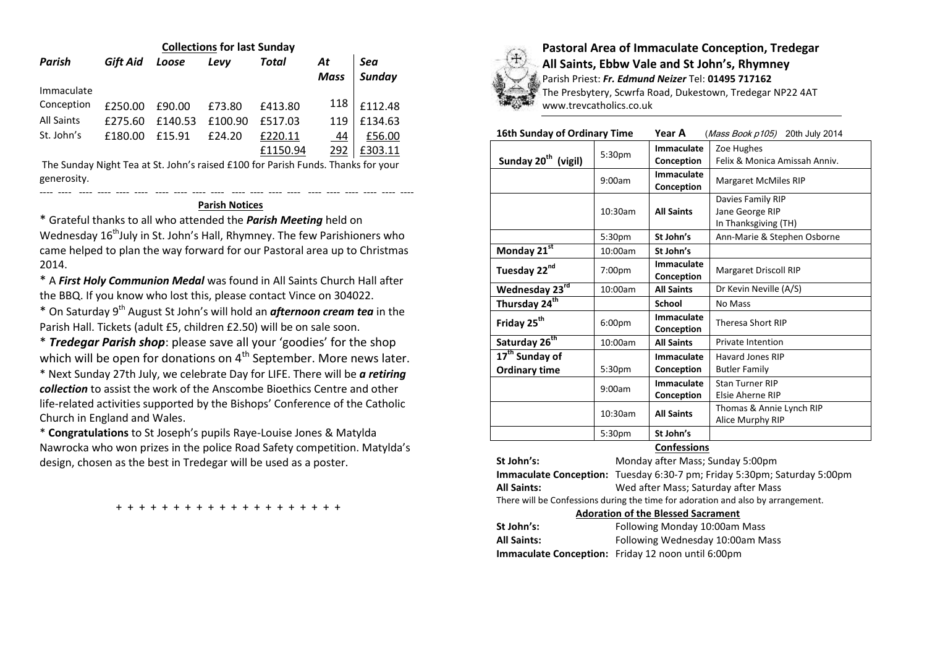| <b>Collections for last Sunday</b> |          |         |         |          |             |               |  |  |
|------------------------------------|----------|---------|---------|----------|-------------|---------------|--|--|
| Parish                             | Gift Aid | Loose   | Levv    | Total    | At          | Sea           |  |  |
|                                    |          |         |         |          | <b>Mass</b> | <b>Sunday</b> |  |  |
| Immaculate                         |          |         |         |          |             |               |  |  |
| Conception                         | £250.00  | £90.00  | £73.80  | £413.80  | 118         | £112.48       |  |  |
| <b>All Saints</b>                  | £275.60  | £140.53 | £100.90 | £517.03  | 119         | £134.63       |  |  |
| St. John's                         | £180.00  | £15.91  | £24.20  | £220.11  | <u>44</u>   | £56.00        |  |  |
|                                    |          |         |         | £1150.94 | 292         | £303.11       |  |  |

The Sunday Night Tea at St. John's raised £100 for Parish Funds. Thanks for your generosity.

## ---- ---- ---- ---- ---- ---- ---- ---- ---- ---- ---- ---- ---- ---- ---- ---- ---- ---- ---- ---- **Parish Notices**

\* Grateful thanks to all who attended the *Parish Meeting* held on Wednesday 16<sup>th</sup>July in St. John's Hall, Rhymney. The few Parishioners who came helped to plan the way forward for our Pastoral area up to Christmas 2014.

\* A *First Holy Communion Medal* was found in All Saints Church Hall after the BBQ. If you know who lost this, please contact Vince on 304022.

\* On Saturday 9<sup>th</sup> August St John's will hold an *afternoon cream tea* in the Parish Hall. Tickets (adult £5, children £2.50) will be on sale soon.

\* *Tredegar Parish shop*: please save all your 'goodies' for the shop which will be open for donations on  $4<sup>th</sup>$  September. More news later.

\* Next Sunday 27th July, we celebrate Day for LIFE. There will be *a retiring collection* to assist the work of the Anscombe Bioethics Centre and other life-related activities supported by the Bishops' Conference of the Catholic Church in England and Wales.

\* **Congratulations** to St Joseph's pupils Raye-Louise Jones & Matylda Nawrocka who won prizes in the police Road Safety competition. Matylda's design, chosen as the best in Tredegar will be used as a poster.

+ + + + + + + + + + + + + + + + + + + +



**Pastoral Area of Immaculate Conception, Tredegar All Saints, Ebbw Vale and St John's, Rhymney** Parish Priest: *Fr. Edmund Neizer* Tel: **01495 717162**

The Presbytery, Scwrfa Road, Dukestown, Tredegar NP22 4AT www.trevcatholics.co.uk

# **16th Sunday of Ordinary Time Year A** (Mass Book p105) 20th July 2014

|                                                    | 5:30pm             | Immaculate               | Zoe Hughes                                                   |  |  |  |
|----------------------------------------------------|--------------------|--------------------------|--------------------------------------------------------------|--|--|--|
| Sunday 20 <sup>th</sup> (vigil)                    |                    | Conception               | Felix & Monica Amissah Anniv.                                |  |  |  |
|                                                    | 9:00am             | Immaculate<br>Conception | <b>Margaret McMiles RIP</b>                                  |  |  |  |
|                                                    | 10:30am            | <b>All Saints</b>        | Davies Family RIP<br>Jane George RIP<br>In Thanksgiving (TH) |  |  |  |
|                                                    | 5:30pm             | St John's                | Ann-Marie & Stephen Osborne                                  |  |  |  |
| Monday $21^{st}$                                   | 10:00am            | St John's                |                                                              |  |  |  |
| Tuesday 22nd                                       | 7:00pm             | Immaculate<br>Conception | Margaret Driscoll RIP                                        |  |  |  |
| Wednesday 23rd                                     | 10:00am            | <b>All Saints</b>        | Dr Kevin Neville (A/S)                                       |  |  |  |
| Thursday 24 <sup>th</sup>                          |                    | School                   | No Mass                                                      |  |  |  |
| Friday 25 <sup>th</sup>                            | 6:00 <sub>pm</sub> | Immaculate<br>Conception | <b>Theresa Short RIP</b>                                     |  |  |  |
| Saturday 26 <sup>th</sup>                          | 10:00am            | <b>All Saints</b>        | <b>Private Intention</b>                                     |  |  |  |
| 17 <sup>th</sup> Sunday of<br><b>Ordinary time</b> | 5:30 <sub>pm</sub> | Immaculate<br>Conception | Havard Jones RIP<br><b>Butler Family</b>                     |  |  |  |
|                                                    | 9:00am             | Immaculate<br>Conception | <b>Stan Turner RIP</b><br>Elsie Aherne RIP                   |  |  |  |
|                                                    | 10:30am            | <b>All Saints</b>        | Thomas & Annie Lynch RIP<br>Alice Murphy RIP                 |  |  |  |
|                                                    | 5:30pm             | St John's                |                                                              |  |  |  |
| $C = 1$                                            |                    |                          |                                                              |  |  |  |

### **Confessions**

**St John's:** Monday after Mass; Sunday 5:00pm **Immaculate Conception:** Tuesday 6:30-7 pm; Friday 5:30pm; Saturday 5:00pm **All Saints:** Wed after Mass; Saturday after Mass There will be Confessions during the time for adoration and also by arrangement.

#### **Adoration of the Blessed Sacrament**

| St John's:         | Following Monday 10:00am Mass                             |
|--------------------|-----------------------------------------------------------|
| <b>All Saints:</b> | Following Wednesday 10:00am Mass                          |
|                    | <b>Immaculate Conception:</b> Friday 12 noon until 6:00pm |